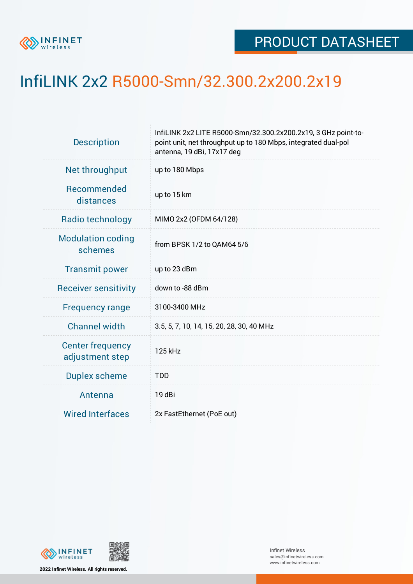

## InfiLINK 2x2 R5000-Smn/32.300.2x200.2x19

| <b>Description</b>                         | InfiLINK 2x2 LITE R5000-Smn/32.300.2x200.2x19, 3 GHz point-to-<br>point unit, net throughput up to 180 Mbps, integrated dual-pol<br>antenna, 19 dBi, 17x17 deg |  |  |  |  |
|--------------------------------------------|----------------------------------------------------------------------------------------------------------------------------------------------------------------|--|--|--|--|
| Net throughput                             | up to 180 Mbps                                                                                                                                                 |  |  |  |  |
| Recommended<br>distances                   | up to 15 km                                                                                                                                                    |  |  |  |  |
| Radio technology                           | MIMO 2x2 (OFDM 64/128)                                                                                                                                         |  |  |  |  |
| <b>Modulation coding</b><br>schemes        | from BPSK 1/2 to QAM64 5/6                                                                                                                                     |  |  |  |  |
| <b>Transmit power</b>                      | up to 23 dBm                                                                                                                                                   |  |  |  |  |
| <b>Receiver sensitivity</b>                | down to -88 dBm                                                                                                                                                |  |  |  |  |
| <b>Frequency range</b>                     | 3100-3400 MHz                                                                                                                                                  |  |  |  |  |
| <b>Channel width</b>                       | 3.5, 5, 7, 10, 14, 15, 20, 28, 30, 40 MHz                                                                                                                      |  |  |  |  |
| <b>Center frequency</b><br>adjustment step | 125 kHz                                                                                                                                                        |  |  |  |  |
| <b>Duplex scheme</b>                       | <b>TDD</b>                                                                                                                                                     |  |  |  |  |
| Antenna                                    | 19 dBi                                                                                                                                                         |  |  |  |  |
| <b>Wired Interfaces</b>                    | 2x FastEthernet (PoE out)                                                                                                                                      |  |  |  |  |



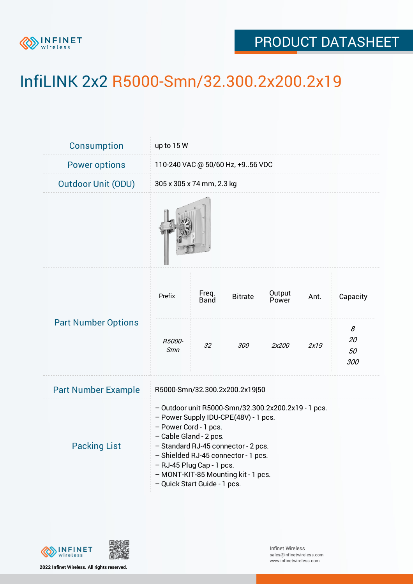

## PRODUCT DATASHEET

## InfiLINK 2x2 R5000-Smn/32.300.2x200.2x19

| Consumption                | up to 15 W                                                                                                                                                                                                                                                                                                                       |                           |                |                 |      |                      |  |  |
|----------------------------|----------------------------------------------------------------------------------------------------------------------------------------------------------------------------------------------------------------------------------------------------------------------------------------------------------------------------------|---------------------------|----------------|-----------------|------|----------------------|--|--|
| <b>Power options</b>       | 110-240 VAC @ 50/60 Hz, +956 VDC                                                                                                                                                                                                                                                                                                 |                           |                |                 |      |                      |  |  |
| <b>Outdoor Unit (ODU)</b>  |                                                                                                                                                                                                                                                                                                                                  | 305 x 305 x 74 mm, 2.3 kg |                |                 |      |                      |  |  |
|                            |                                                                                                                                                                                                                                                                                                                                  |                           |                |                 |      |                      |  |  |
| <b>Part Number Options</b> | Prefix                                                                                                                                                                                                                                                                                                                           | Freq.<br><b>Band</b>      | <b>Bitrate</b> | Output<br>Power | Ant. | Capacity             |  |  |
|                            | R5000-<br><b>Smn</b>                                                                                                                                                                                                                                                                                                             | 32                        | 300            | 2x200           | 2x19 | 8<br>20<br>50<br>300 |  |  |
| <b>Part Number Example</b> | R5000-Smn/32.300.2x200.2x19 50                                                                                                                                                                                                                                                                                                   |                           |                |                 |      |                      |  |  |
| <b>Packing List</b>        | - Outdoor unit R5000-Smn/32.300.2x200.2x19 - 1 pcs.<br>- Power Supply IDU-CPE(48V) - 1 pcs.<br>- Power Cord - 1 pcs.<br>- Cable Gland - 2 pcs.<br>- Standard RJ-45 connector - 2 pcs.<br>- Shielded RJ-45 connector - 1 pcs.<br>- RJ-45 Plug Cap - 1 pcs.<br>- MONT-KIT-85 Mounting kit - 1 pcs.<br>- Quick Start Guide - 1 pcs. |                           |                |                 |      |                      |  |  |



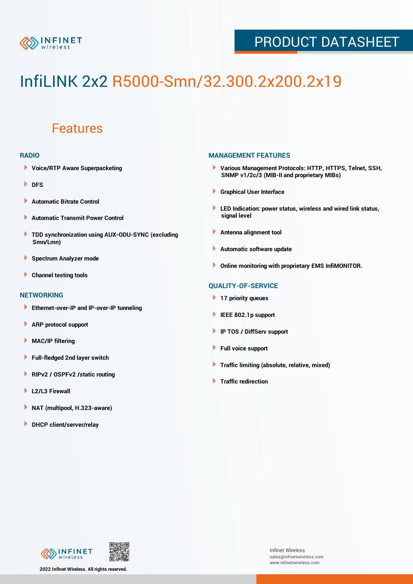

## PRODUCT DATASHEET

# InfiLINK 2x2 R5000-Smn/32.300.2x200.2x19

### Features

#### **RADIO**

- **Voice/RTP Aware Superpacketing**
- **DFS**
- **Automatic Bitrate Control** Þ
- Þ **Automatic Transmit Power Control**
- ь **TDD synchronization using AUX-ODU-SYNC (excluding Smn/Lmn)**
- **Spectrum Analyzer mode** ۰
- **Channel testing tools** ١

#### **NETWORKING**

- **Ethernet-over-IP and IP-over-IP tunneling**
- Þ **ARP protocol support**
- ۱ **MAC/IP filtering**
- Þ **Full-fledged 2nd layer switch**
- Þ **RIPv2 / OSPFv2 /static routing**
- **L2/L3 Firewall** Þ
- **NAT (multipool, H.323-aware)** Þ
- Þ **DHCP client/server/relay**

#### **MANAGEMENT FEATURES**

- **Various Management Protocols: HTTP, HTTPS, Telnet, SSH, SNMP v1/2c/3 (MIB-II and proprietary MIBs)**
- **Graphical User Interface**
- **LED Indication: power status, wireless and wired link status, signal level**
- **Antenna alignment tool**
- ٠ **Automatic software update**
- **Online monitoring with proprietary EMS InfiMONITOR.**

#### **QUALITY-OF-SERVICE**

- **17 priority queues**
- **IEEE 802.1p support**
- **IP TOS / DiffServ support**
- ٠ **Full voice support**
- **Traffic limiting (absolute, relative, mixed)** ٠
- **Traffic redirection**